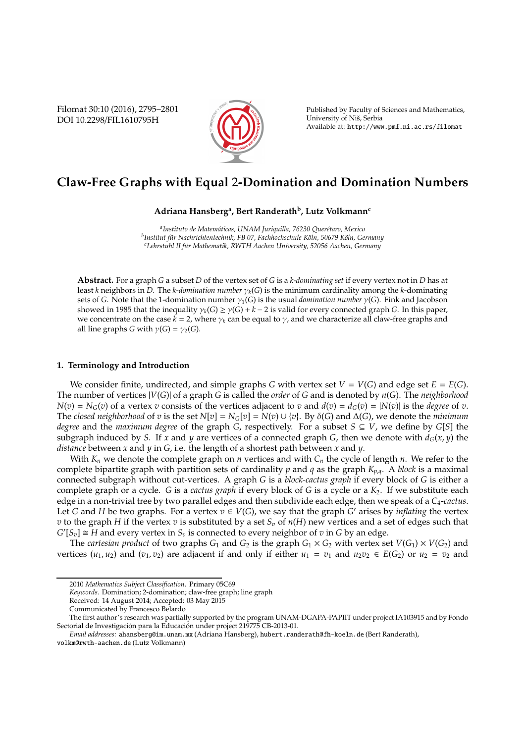Filomat 30:10 (2016), 2795–2801 DOI 10.2298/FIL1610795H



Published by Faculty of Sciences and Mathematics, University of Niš, Serbia Available at: http://www.pmf.ni.ac.rs/filomat

# **Claw-Free Graphs with Equal** 2**-Domination and Domination Numbers**

**Adriana Hansberg<sup>a</sup> , Bert Randerath<sup>b</sup> , Lutz Volkmann<sup>c</sup>**

<sup>a</sup> Instituto de Matemáticas, UNAM Juriquilla, 76230 Querétaro, Mexico <sup>b</sup>Institut für Nachrichtentechnik, FB 07, Fachhochschule Köln, 50679 Köln, Germany <sup>c</sup>Lehrstuhl II für Mathematik, RWTH Aachen University, 52056 Aachen, Germany

**Abstract.** For a graph *G* a subset *D* of the vertex set of *G* is a *k-dominating set* if every vertex not in *D* has at least *k* neighbors in *D*. The *k-domination number* γ*k*(*G*) is the minimum cardinality among the *k*-dominating sets of *G*. Note that the 1-domination number  $\gamma_1(G)$  is the usual *domination number*  $\gamma(G)$ . Fink and Jacobson showed in 1985 that the inequality  $\gamma_k(G) \geq \gamma(G) + k - 2$  is valid for every connected graph *G*. In this paper, we concentrate on the case  $k = 2$ , where  $\gamma_k$  can be equal to  $\gamma$ , and we characterize all claw-free graphs and all line graphs *G* with  $\gamma(G) = \gamma_2(G)$ .

## **1. Terminology and Introduction**

We consider finite, undirected, and simple graphs *G* with vertex set  $V = V(G)$  and edge set  $E = E(G)$ . The number of vertices |*V*(*G*)| of a graph *G* is called the *order* of *G* and is denoted by *n*(*G*). The *neighborhood*  $N(v) = N_G(v)$  of a vertex *v* consists of the vertices adjacent to *v* and  $d(v) = d_G(v) = |N(v)|$  is the *degree* of *v*. The *closed neighborhood* of *v* is the set  $N[v] = N_G[v] = N(v) \cup \{v\}$ . By  $\delta(G)$  and  $\Delta(G)$ , we denote the *minimum degree* and the *maximum degree* of the graph *G*, respectively. For a subset  $S \subseteq V$ , we define by *G*[*S*] the subgraph induced by *S*. If *x* and *y* are vertices of a connected graph *G*, then we denote with  $d_G(x, y)$  the *distance* between *x* and *y* in *G*, i.e. the length of a shortest path between *x* and *y*.

With *K<sup>n</sup>* we denote the complete graph on *n* vertices and with *C<sup>n</sup>* the cycle of length *n*. We refer to the complete bipartite graph with partition sets of cardinality *p* and *q* as the graph *K<sup>p</sup>*,*<sup>q</sup>*. A *block* is a maximal connected subgraph without cut-vertices. A graph *G* is a *block-cactus graph* if every block of *G* is either a complete graph or a cycle. *G* is a *cactus graph* if every block of *G* is a cycle or a *K*2. If we substitute each edge in a non-trivial tree by two parallel edges and then subdivide each edge, then we speak of a *C*4-*cactus*. Let *G* and *H* be two graphs. For a vertex  $v \in V(G)$ , we say that the graph *G*' arises by *inflating* the vertex *v* to the graph *H* if the vertex *v* is substituted by a set  $S<sub>v</sub>$  of  $n(H)$  new vertices and a set of edges such that  $G'[S_v] \cong H$  and every vertex in  $S_v$  is connected to every neighbor of  $v$  in  $G$  by an edge.

The *cartesian product* of two graphs  $G_1$  and  $G_2$  is the graph  $G_1 \times G_2$  with vertex set  $V(G_1) \times V(G_2)$  and vertices  $(u_1, u_2)$  and  $(v_1, v_2)$  are adjacent if and only if either  $u_1 = v_1$  and  $u_2v_2 \in E(G_2)$  or  $u_2 = v_2$  and

<sup>2010</sup> *Mathematics Subject Classification*. Primary 05C69

*Keywords*. Domination; 2-domination; claw-free graph; line graph

Received: 14 August 2014; Accepted: 03 May 2015

Communicated by Francesco Belardo

The first author's research was partially supported by the program UNAM-DGAPA-PAPIIT under project IA103915 and by Fondo Sectorial de Investigación para la Educación under project 219775 CB-2013-01.

*Email addresses:* ahansberg@im.unam.mx (Adriana Hansberg), hubert.randerath@fh-koeln.de (Bert Randerath),

volkm@rwth-aachen.de (Lutz Volkmann)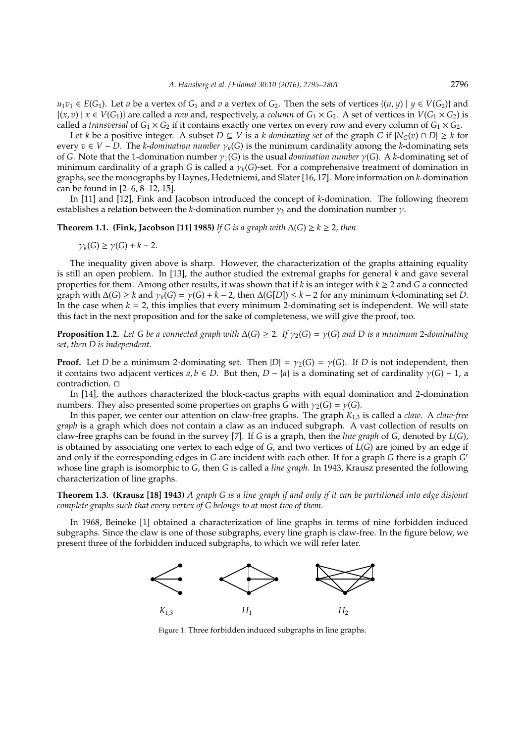*u*<sub>1</sub>*v*<sub>1</sub> ∈ *E*(*G*<sub>1</sub>). Let *u* be a vertex of *G*<sub>1</sub> and *v* a vertex of *G*<sub>2</sub>. Then the sets of vertices {(*u*, *y*) | *y* ∈ *V*(*G*<sub>2</sub>)} and  $\{(x, v) \mid x \in V(G_1)\}\$  are called a *row* and, respectively, a *column* of  $G_1 \times G_2$ . A set of vertices in  $V(G_1 \times G_2)$  is called a *transversal* of  $G_1 \times G_2$  if it contains exactly one vertex on every row and every column of  $G_1 \times G_2$ .

Let *k* be a positive integer. A subset  $D \subseteq V$  is a *k-dominating set* of the graph *G* if  $|N_G(v) \cap D| \geq k$  for every  $v \in V - D$ . The *k-domination number*  $\gamma_k(G)$  is the minimum cardinality among the *k*-dominating sets of *G*. Note that the 1-domination number  $\gamma_1(G)$  is the usual *domination number*  $\gamma(G)$ . A *k*-dominating set of minimum cardinality of a graph *G* is called a γ*k*(*G*)-set. For a comprehensive treatment of domination in graphs, see the monographs by Haynes, Hedetniemi, and Slater [16, 17]. More information on *k*-domination can be found in [2–6, 8–12, 15].

In [11] and [12], Fink and Jacobson introduced the concept of *k*-domination. The following theorem establishes a relation between the *k*-domination number  $\gamma_k$  and the domination number  $\gamma$ .

**Theorem 1.1. (Fink, Jacobson [11] 1985)** *If G is a graph with* ∆(*G*) ≥ *k* ≥ 2*, then*

$$
\gamma_k(G) \ge \gamma(G) + k - 2.
$$

The inequality given above is sharp. However, the characterization of the graphs attaining equality is still an open problem. In [13], the author studied the extremal graphs for general *k* and gave several properties for them. Among other results, it was shown that if *k* is an integer with  $k \ge 2$  and *G* a connected graph with  $\Delta(G) \geq k$  and  $\gamma_k(G) = \gamma(G) + k - 2$ , then  $\Delta(G[D]) \leq k - 2$  for any minimum *k*-dominating set *D*. In the case when  $k = 2$ , this implies that every minimum 2-dominating set is independent. We will state this fact in the next proposition and for the sake of completeness, we will give the proof, too.

**Proposition 1.2.** *Let G be a connected graph with*  $\Delta(G) \geq 2$ *. If*  $\gamma_2(G) = \gamma(G)$  *and D is a minimum* 2*-dominating set, then D is independent.*

**Proof.** Let *D* be a minimum 2-dominating set. Then  $|D| = \gamma_2(G) = \gamma(G)$ . If *D* is not independent, then it contains two adjacent vertices  $a, b \in D$ . But then,  $D - \{a\}$  is a dominating set of cardinality  $\gamma(G) - 1$ , a contradiction.

In [14], the authors characterized the block-cactus graphs with equal domination and 2-domination numbers. They also presented some properties on graphs *G* with  $\gamma_2(G) = \gamma(G)$ .

In this paper, we center our attention on claw-free graphs. The graph *K*<sup>1</sup>,<sup>3</sup> is called a *claw*. A *claw-free graph* is a graph which does not contain a claw as an induced subgraph. A vast collection of results on claw-free graphs can be found in the survey [7]. If *G* is a graph, then the *line graph* of *G*, denoted by *L*(*G*), is obtained by associating one vertex to each edge of *G*, and two vertices of *L*(*G*) are joined by an edge if and only if the corresponding edges in *G* are incident with each other. If for a graph *G* there is a graph *G* ′ whose line graph is isomorphic to *G*, then *G* is called a *line graph*. In 1943, Krausz presented the following characterization of line graphs.

**Theorem 1.3. (Krausz [18] 1943)** *A graph G is a line graph if and only if it can be partitioned into edge disjoint complete graphs such that every vertex of G belongs to at most two of them.*

In 1968, Beineke [1] obtained a characterization of line graphs in terms of nine forbidden induced subgraphs. Since the claw is one of those subgraphs, every line graph is claw-free. In the figure below, we present three of the forbidden induced subgraphs, to which we will refer later.



Figure 1: Three forbidden induced subgraphs in line graphs.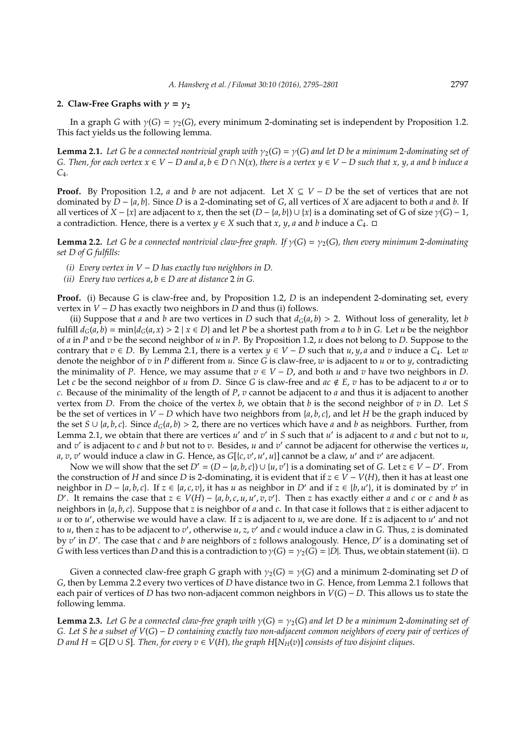## **2. Claw-Free Graphs with**  $\gamma = \gamma_2$

In a graph *G* with  $\gamma(G) = \gamma_2(G)$ , every minimum 2-dominating set is independent by Proposition 1.2. This fact yields us the following lemma.

**Lemma 2.1.** Let G be a connected nontrivial graph with  $\gamma_2(G) = \gamma(G)$  and let D be a minimum 2-dominating set of *G.* Then, for each vertex  $x \in V - D$  and  $a, b \in D \cap N(x)$ , there is a vertex  $y \in V - D$  such that x, y, a and b induce a *C*4*.*

**Proof.** By Proposition 1.2, *a* and *b* are not adjacent. Let  $X \subseteq V - D$  be the set of vertices that are not dominated by *D* − {*a*, *b*}. Since *D* is a 2-dominating set of *G*, all vertices of *X* are adjacent to both *a* and *b*. If all vertices of  $X - \{x\}$  are adjacent to *x*, then the set  $(D - \{a, b\}) \cup \{x\}$  is a dominating set of G of size  $\gamma(G) - 1$ , a contradiction. Hence, there is a vertex  $y \in X$  such that  $x$ ,  $y$ ,  $a$  and  $b$  induce a  $C_4$ .  $\Box$ 

**Lemma 2.2.** Let G be a connected nontrivial claw-free graph. If  $\gamma(G) = \gamma_2(G)$ , then every minimum 2-dominating *set D of G fulfills:*

- *(i) Every vertex in V* − *D has exactly two neighbors in D.*
- *(ii)* Every two vertices  $a, b \in D$  are at distance 2 in G.

**Proof.** (i) Because *G* is claw-free and, by Proposition 1.2, *D* is an independent 2-dominating set, every vertex in *V* − *D* has exactly two neighbors in *D* and thus (i) follows.

(ii) Suppose that *a* and *b* are two vertices in *D* such that  $d_G(a, b) > 2$ . Without loss of generality, let *b* fulfill  $d_G(a, b) = \min\{d_G(a, x) > 2 \mid x \in D\}$  and let *P* be a shortest path from *a* to *b* in *G*. Let *u* be the neighbor of *a* in *P* and *v* be the second neighbor of *u* in *P*. By Proposition 1.2, *u* does not belong to *D*. Suppose to the contrary that  $v \in D$ . By Lemma 2.1, there is a vertex  $y \in V - D$  such that  $u, y, a$  and  $v$  induce a  $C_4$ . Let  $w$ denote the neighbor of *v* in *P* different from *u*. Since *G* is claw-free, *w* is adjacent to *u* or to *y*, contradicting the minimality of *P*. Hence, we may assume that  $v \in V - D$ , and both *u* and *v* have two neighbors in *D*. Let *c* be the second neighbor of *u* from *D*. Since *G* is claw-free and  $ac \notin E$ , *v* has to be adjacent to *a* or to *c*. Because of the minimality of the length of *P*, *v* cannot be adjacent to *a* and thus it is adjacent to another vertex from *D*. From the choice of the vertex *b*, we obtain that *b* is the second neighbor of *v* in *D*. Let *S* be the set of vertices in *V* − *D* which have two neighbors from  $\{a, b, c\}$ , and let *H* be the graph induced by the set *S* ∪ {*a*, *b*, *c*}. Since  $d_G(a, b) > 2$ , there are no vertices which have *a* and *b* as neighbors. Further, from Lemma 2.1, we obtain that there are vertices *u'* and *v'* in *S* such that *u'* is adjacent to *a* and *c* but not to *u*, and *v* ′ is adjacent to *c* and *b* but not to *v*. Besides, *u* and *v* ′ cannot be adjacent for otherwise the vertices *u*, *a*, *v*, *v*' would induce a claw in *G*. Hence, as *G*[{*c*, *v'*, *u'*, *u*}] cannot be a claw, *u'* and *v'* are adjacent.

Now we will show that the set  $D' = (D - \{a, b, c\}) \cup \{u, v'\}$  is a dominating set of *G*. Let  $z \in V - D'$ . From the construction of *H* and since *D* is 2-dominating, it is evident that if  $z ∈ V - V(H)$ , then it has at least one neighbor in *D* − {*a*, *b*, *c*}. If  $z \in \{a, c, v\}$ , it has *u* as neighbor in *D'* and if  $z \in \{b, u'\}$ , it is dominated by *v'* in D'. It remains the case that  $z \in V(H) - \{a, b, c, u, u', v, v'\}$ . Then z has exactly either a and c or c and b as neighbors in {*a*, *b*, *c*}. Suppose that *z* is neighbor of *a* and *c*. In that case it follows that *z* is either adjacent to *u* or to *u* ′ , otherwise we would have a claw. If *z* is adjacent to *u*, we are done. If *z* is adjacent to *u* ′ and not to *u*, then *z* has to be adjacent to *v* ′ , otherwise *u*, *z*, *v* ′ and *c* would induce a claw in *G*. Thus, *z* is dominated by *v* ′ in *D*′ . The case that *c* and *b* are neighbors of *z* follows analogously. Hence, *D*′ is a dominating set of *G* with less vertices than *D* and this is a contradiction to  $\gamma(G) = \gamma_2(G) = |D|$ . Thus, we obtain statement (ii).  $\Box$ 

Given a connected claw-free graph *G* graph with  $\gamma_2(G) = \gamma(G)$  and a minimum 2-dominating set *D* of *G*, then by Lemma 2.2 every two vertices of *D* have distance two in *G*. Hence, from Lemma 2.1 follows that each pair of vertices of *D* has two non-adjacent common neighbors in *V*(*G*) − *D*. This allows us to state the following lemma.

**Lemma 2.3.** Let G be a connected claw-free graph with  $\gamma(G) = \gamma_2(G)$  and let D be a minimum 2-dominating set of *G. Let S be a subset of V*(*G*) − *D containing exactly two non-adjacent common neighbors of every pair of vertices of D* and  $H = G[D ∪ S]$ *. Then, for every*  $v ∈ V(H)$ *, the graph*  $H[N<sub>H</sub>(v)]$  *consists of two disjoint cliques.*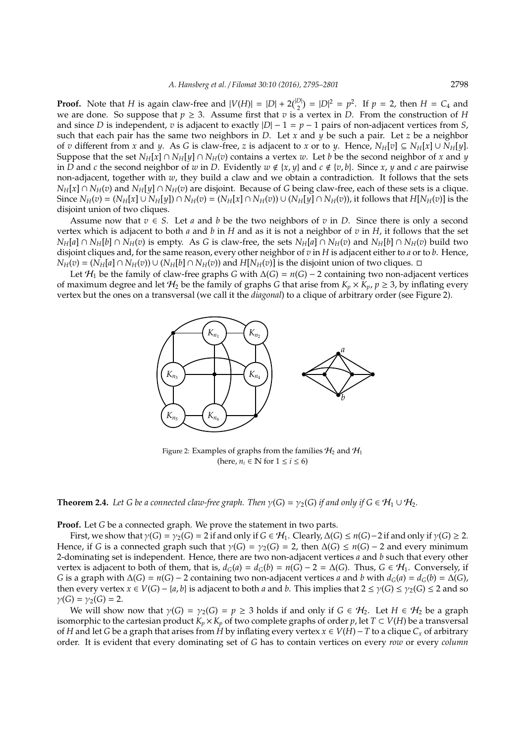**Proof.** Note that *H* is again claw-free and  $|V(H)| = |D| + 2\binom{|D|}{2} = |D|^2 = p^2$ . If  $p = 2$ , then  $H = C_4$  and we are done. So suppose that  $p \geq 3$ . Assume first that *v* is a vertex in *D*. From the construction of *H* and since *D* is independent, *v* is adjacent to exactly  $|D| - 1 = p - 1$  pairs of non-adjacent vertices from *S*, such that each pair has the same two neighbors in *D*. Let *x* and *y* be such a pair. Let *z* be a neighbor of *v* different from *x* and *y*. As *G* is claw-free, *z* is adjacent to *x* or to *y*. Hence,  $N_H[v] \subseteq N_H[x] \cup N_H[y]$ . Suppose that the set  $N_H[x] \cap N_H[y] \cap N_H(v)$  contains a vertex *w*. Let *b* be the second neighbor of *x* and *y* in *D* and *c* the second neighbor of *w* in *D*. Evidently  $w \notin \{x, y\}$  and  $c \notin \{v, b\}$ . Since *x*, *y* and *c* are pairwise non-adjacent, together with *w*, they build a claw and we obtain a contradiction. It follows that the sets  $N_H[x] \cap N_H(v)$  and  $N_H[y] \cap N_H(v)$  are disjoint. Because of *G* being claw-free, each of these sets is a clique. Since  $N_H(v) = (N_H[x] \cup N_H[y]) \cap N_H(v) = (N_H[x] \cap N_H(v)) \cup (N_H[y] \cap N_H(v))$ , it follows that  $H[N_H(v)]$  is the disjoint union of two cliques.

Assume now that  $v \in S$ . Let *a* and *b* be the two neighbors of *v* in *D*. Since there is only a second vertex which is adjacent to both *a* and *b* in *H* and as it is not a neighbor of *v* in *H*, it follows that the set  $N_H[a] \cap N_H[b] \cap N_H(v)$  is empty. As G is claw-free, the sets  $N_H[a] \cap N_H(v)$  and  $N_H[b] \cap N_H(v)$  build two disjoint cliques and, for the same reason, every other neighbor of *v* in *H* is adjacent either to *a* or to *b*. Hence,  $N_H(v) = (N_H[a] \cap N_H(v)) \cup (N_H[b] \cap N_H(v))$  and  $H[N_H(v)]$  is the disjoint union of two cliques.  $\Box$ 

Let  $H_1$  be the family of claw-free graphs *G* with  $\Delta(G) = n(G) - 2$  containing two non-adjacent vertices of maximum degree and let  $H_2$  be the family of graphs *G* that arise from  $K_p \times K_p$ ,  $p \ge 3$ , by inflating every vertex but the ones on a transversal (we call it the *diagonal*) to a clique of arbitrary order (see Figure 2).



Figure 2: Examples of graphs from the families  $\mathcal{H}_2$  and  $\mathcal{H}_1$ (here,  $n_i \in \mathbb{N}$  for  $1 \le i \le 6$ )

**Theorem 2.4.** *Let G be a connected claw-free graph. Then*  $\gamma(G) = \gamma_2(G)$  *if and only if*  $G \in H_1 \cup H_2$ *.* 

**Proof.** Let *G* be a connected graph. We prove the statement in two parts.

First, we show that  $\gamma(G) = \gamma_2(G) = 2$  if and only if  $G \in H_1$ . Clearly,  $\Delta(G) \le n(G) - 2$  if and only if  $\gamma(G) \ge 2$ . Hence, if *G* is a connected graph such that  $\gamma(G) = \gamma_2(G) = 2$ , then  $\Delta(G) \le n(G) - 2$  and every minimum 2-dominating set is independent. Hence, there are two non-adjacent vertices *a* and *b* such that every other vertex is adjacent to both of them, that is,  $d_G(a) = d_G(b) = n(G) - 2 = \Delta(G)$ . Thus,  $G \in \mathcal{H}_1$ . Conversely, if *G* is a graph with  $\Delta(G) = n(G) - 2$  containing two non-adjacent vertices *a* and *b* with  $d_G(a) = d_G(b) = \Delta(G)$ , then every vertex  $x \in V(G) - \{a, b\}$  is adjacent to both *a* and *b*. This implies that  $2 \le \gamma(G) \le \gamma_2(G) \le 2$  and so  $γ(G) = γ<sub>2</sub>(G) = 2.$ 

We will show now that  $\gamma(G) = \gamma_2(G) = p \geq 3$  holds if and only if  $G \in \mathcal{H}_2$ . Let  $H \in \mathcal{H}_2$  be a graph isomorphic to the cartesian product  $K_p \times K_p$  of two complete graphs of order *p*, let  $T \subset V(H)$  be a transversal of *H* and let *G* be a graph that arises from *H* by inflating every vertex *x* ∈ *V*(*H*)−*T* to a clique *C<sup>x</sup>* of arbitrary order. It is evident that every dominating set of *G* has to contain vertices on every *row* or every *column*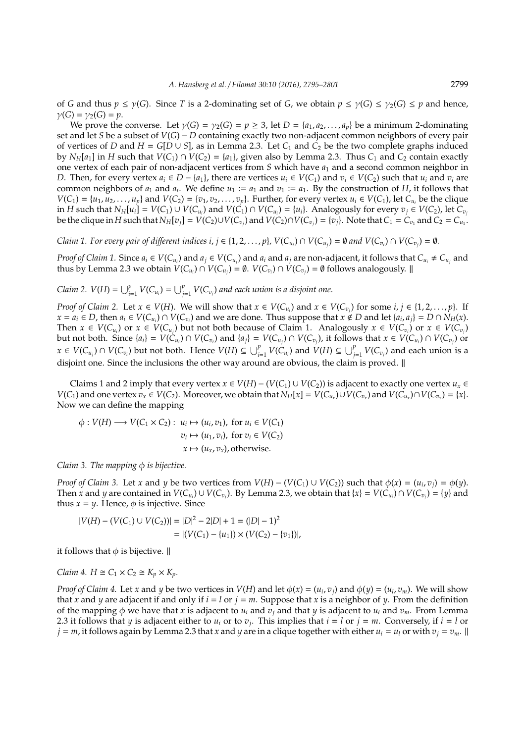of *G* and thus  $p \le \gamma(G)$ . Since *T* is a 2-dominating set of *G*, we obtain  $p \le \gamma(G) \le \gamma_2(G) \le p$  and hence,  $\gamma(G) = \gamma_2(G) = p$ .

We prove the converse. Let  $\gamma(G) = \gamma_2(G) = p \geq 3$ , let  $D = \{a_1, a_2, \ldots, a_p\}$  be a minimum 2-dominating set and let *S* be a subset of *V*(*G*) − *D* containing exactly two non-adjacent common neighbors of every pair of vertices of *D* and  $H = G[D \cup S]$ , as in Lemma 2.3. Let  $C_1$  and  $C_2$  be the two complete graphs induced by  $N_H[a_1]$  in *H* such that  $V(C_1) \cap V(C_2) = \{a_1\}$ , given also by Lemma 2.3. Thus  $C_1$  and  $C_2$  contain exactly one vertex of each pair of non-adjacent vertices from *S* which have *a*<sup>1</sup> and a second common neighbor in D. Then, for every vertex  $a_i \in D - \{a_1\}$ , there are vertices  $u_i \in V(C_1)$  and  $v_i \in V(C_2)$  such that  $u_i$  and  $v_i$  are common neighbors of  $a_1$  and  $a_i$ . We define  $u_1 := a_1$  and  $v_1 := a_1$ . By the construction of *H*, it follows that  $V(C_1) = \{u_1, u_2, \dots, u_p\}$  and  $V(C_2) = \{v_1, v_2, \dots, v_p\}$ . Further, for every vertex  $u_i \in V(C_1)$ , let  $C_{u_i}$  be the clique in H such that  $N_H[u_i] = V(C_1) \cup V(C_{u_i})$  and  $V(C_1) \cap V(C_{u_i}) = \{u_i\}$ . Analogously for every  $v_j \in V(C_2)$ , let  $C_{v_j}$ be the clique in H such that  $N_H[v_j] = V(C_2) \cup V(C_{v_j})$  and  $V(C_2) \cap V(C_{v_j}) = \{v_j\}$ . Note that  $C_1 = C_{v_1}$  and  $C_2 = C_{u_1}$ .

Claim 1. For every pair of different indices i,  $j\in\{1,2,\ldots,p\}$ ,  $V(C_{u_i})\cap V(C_{u_j})=\emptyset$  and  $V(C_{v_i})\cap V(C_{v_j})=\emptyset$ .

*Proof of Claim 1.* Since  $a_i \in V(C_{u_i})$  and  $a_j \in V(C_{u_j})$  and  $a_i$  and  $a_j$  are non-adjacent, it follows that  $C_{u_i} \neq C_{u_j}$  and thus by Lemma 2.3 we obtain  $V(C_{u_i}) \cap V(C_{u_j}) = \emptyset$ .  $V(C_{v_i}) \cap V(C_{v_j}) = \emptyset$  follows analogously.  $\parallel$ 

*Claim* 2.  $V(H) = \bigcup_{i=1}^{p} V(C_{u_i}) = \bigcup_{j=1}^{p} V(C_{v_j})$  and each union is a disjoint one.

*Proof of Claim 2.* Let  $x \in V(H)$ . We will show that  $x \in V(C_{u_i})$  and  $x \in V(C_{v_i})$  for some  $i, j \in \{1, 2, ..., p\}$ . If  $x = a_i \in D$ , then  $a_i \in V(C_{u_i}) \cap V(C_{v_i})$  and we are done. Thus suppose that  $x \notin D$  and let  $\{a_i, a_j\} = D \cap N_H(x)$ . Then  $x \in V(C_{u_i})$  or  $x \in V(C_{u_j})$  but not both because of Claim 1. Analogously  $x \in V(C_{v_i})$  or  $x \in V(C_{v_j})$ but not both. Since  $\{a_i\} = V(C_{u_i}) \cap V(C_{v_i})$  and  $\{a_j\} = V(C_{u_j}) \cap V(C_{v_j})$ , it follows that  $x \in V(C_{u_i}) \cap V(C_{v_j})$  or  $x \in V(C_{u_j}) \cap V(C_{v_i})$  but not both. Hence  $V(H) \subseteq \bigcup_{i=1}^p V(C_{u_i})$  and  $V(H) \subseteq \bigcup_{j=1}^p V(C_{v_j})$  and each union is a disjoint one. Since the inclusions the other way around are obvious, the claim is proved.  $\parallel$ 

Claims 1 and 2 imply that every vertex  $x \in V(H) - (V(C_1) \cup V(C_2))$  is adjacent to exactly one vertex  $u_x \in V(H)$  $V(C_1)$  and one vertex  $v_x \in V(C_2)$ . Moreover, we obtain that  $N_H[x] = V(C_{u_x}) \cup V(C_{v_x})$  and  $V(C_{u_x}) \cap V(C_{v_x}) = \{x\}$ . Now we can define the mapping

$$
\phi: V(H) \longrightarrow V(C_1 \times C_2): u_i \mapsto (u_i, v_1), \text{ for } u_i \in V(C_1)
$$
  

$$
v_i \mapsto (u_1, v_i), \text{ for } v_i \in V(C_2)
$$
  

$$
x \mapsto (u_x, v_x), \text{ otherwise.}
$$

#### *Claim 3. The mapping*  $\phi$  *is bijective.*

*Proof of Claim 3.* Let *x* and *y* be two vertices from  $V(H) - (V(C_1) \cup V(C_2))$  such that  $\phi(x) = (u_i, v_j) = \phi(y)$ . Then x and y are contained in  $V(C_{u_i})\cup V(C_{v_j})$ . By Lemma 2.3, we obtain that  $\{x\}=V(C_{u_i})\cap V(C_{v_j})=\{y\}$  and thus  $x = y$ . Hence,  $\phi$  is injective. Since

$$
|V(H) - (V(C_1) \cup V(C_2))| = |D|^2 - 2|D| + 1 = (|D| - 1)^2
$$
  
= |(V(C\_1) - {u\_1}) \times (V(C\_2) - {v\_1})|,

it follows that  $\phi$  is bijective.  $\parallel$ 

*Claim 4.*  $H \cong C_1 \times C_2 \cong K_n \times K_n$ .

*Proof of Claim 4.* Let *x* and *y* be two vertices in  $V(H)$  and let  $\phi(x) = (u_i, v_j)$  and  $\phi(y) = (u_l, v_m)$ . We will show that *x* and *y* are adjacent if and only if  $i = l$  or  $j = m$ . Suppose that *x* is a neighbor of *y*. From the definition of the mapping  $\phi$  we have that *x* is adjacent to  $u_i$  and  $v_j$  and that *y* is adjacent to  $u_l$  and  $v_m$ . From Lemma 2.3 it follows that *y* is adjacent either to  $u_i$  or to  $v_j$ . This implies that  $i = l$  or  $j = m$ . Conversely, if  $i = l$  or  $j = m$ , it follows again by Lemma 2.3 that *x* and *y* are in a clique together with either  $u_i = u_l$  or with  $v_j = v_m$ .  $\parallel$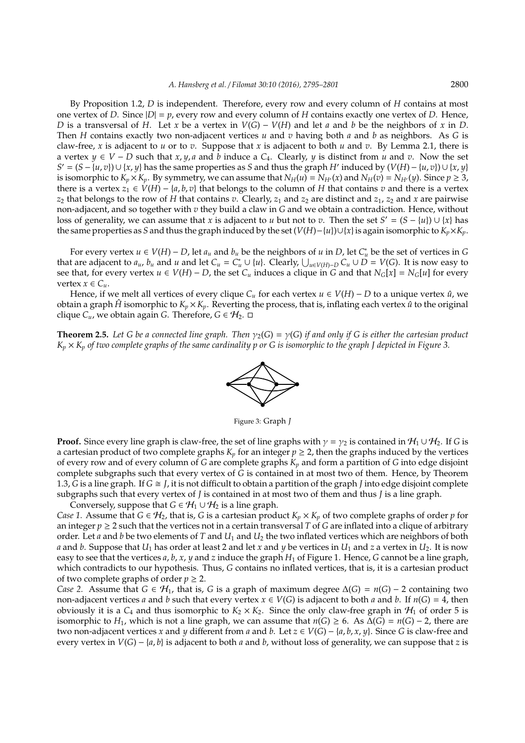By Proposition 1.2, *D* is independent. Therefore, every row and every column of *H* contains at most one vertex of *D*. Since  $|D| = p$ , every row and every column of *H* contains exactly one vertex of *D*. Hence, *D* is a transversal of *H*. Let *x* be a vertex in *V*(*G*) − *V*(*H*) and let *a* and *b* be the neighbors of *x* in *D*. Then *H* contains exactly two non-adjacent vertices *u* and *v* having both *a* and *b* as neighbors. As *G* is claw-free, *x* is adjacent to *u* or to *v*. Suppose that *x* is adjacent to both *u* and *v*. By Lemma 2.1, there is a vertex *y* ∈ *V* − *D* such that *x*, *y*, *a* and *b* induce a *C*4. Clearly, *y* is distinct from *u* and *v*. Now the set *S*<sup> $\prime$ </sup> = (*S* − {*u*, *v*})∪ {*x*, *y*} has the same properties as *S* and thus the graph *H*<sup> $\prime$ </sup> induced by (*V*(*H*) − {*u*, *v*})∪ {*x*, *y*} is isomorphic to  $K_p \times K_p$ . By symmetry, we can assume that  $N_H(u) = N_{H'}(x)$  and  $N_H(v) = N_{H'}(y)$ . Since  $p \ge 3$ , there is a vertex  $z_1 \in V(H) - \{a, b, v\}$  that belongs to the column of *H* that contains *v* and there is a vertex  $z_2$  that belongs to the row of *H* that contains *v*. Clearly,  $z_1$  and  $z_2$  are distinct and  $z_1$ ,  $z_2$  and *x* are pairwise non-adjacent, and so together with *v* they build a claw in *G* and we obtain a contradiction. Hence, without loss of generality, we can assume that *x* is adjacent to *u* but not to *v*. Then the set  $S' = (S - \{u\}) \cup \{x\}$  has the same properties as *S* and thus the graph induced by the set  $(V(H) - {u}) \cup {x}$  is again isomorphic to  $K_p \times K_p$ .

For every vertex  $u \in V(H) - D$ , let  $a_u$  and  $b_u$  be the neighbors of  $u$  in  $D$ , let  $C^*_u$  be the set of vertices in  $G$ that are adjacent to  $a_u$ ,  $b_u$  and  $u$  and let  $C_u = C_u^* \cup \{u\}$ . Clearly,  $\bigcup_{u \in V(H)-D} C_u \cup D = V(G)$ . It is now easy to see that, for every vertex  $u \in V(H) - D$ , the set  $C_u$  induces a clique in *G* and that  $N_G[x] = N_G[u]$  for every vertex  $x \in C_u$ .

Hence, if we melt all vertices of every clique  $C_u$  for each vertex  $u \in V(H) - D$  to a unique vertex  $\hat{u}$ , we obtain a graph  $\hat{H}$  isomorphic to  $K_p \times K_p$ . Reverting the process, that is, inflating each vertex  $\hat{u}$  to the original clique  $C$ <sub>*u*</sub>, we obtain again *G*. Therefore, *G* ∈  $H$ <sub>2</sub>. □

**Theorem 2.5.** Let G be a connected line graph. Then  $\gamma_2(G) = \gamma(G)$  if and only if G is either the cartesian product  $K_p \times K_p$  of two complete graphs of the same cardinality p or G is isomorphic to the graph *J* depicted in Figure 3.



Figure 3: Graph *J*

**Proof.** Since every line graph is claw-free, the set of line graphs with  $\gamma = \gamma_2$  is contained in  $\mathcal{H}_1 \cup \mathcal{H}_2$ . If *G* is a cartesian product of two complete graphs  $K_p$  for an integer  $p \geq 2$ , then the graphs induced by the vertices of every row and of every column of *G* are complete graphs *K<sup>p</sup>* and form a partition of *G* into edge disjoint complete subgraphs such that every vertex of *G* is contained in at most two of them. Hence, by Theorem 1.3, *G* is a line graph. If  $G \cong J$ , it is not difficult to obtain a partition of the graph *J* into edge disjoint complete subgraphs such that every vertex of *J* is contained in at most two of them and thus *J* is a line graph. Conversely, suppose that *G*  $\in$   $H_1 \cup H_2$  is a line graph.

*Case 1.* Assume that *G* ∈  $H_2$ , that is, *G* is a cartesian product  $K_p \times K_p$  of two complete graphs of order *p* for an integer  $p \geq 2$  such that the vertices not in a certain transversal T of *G* are inflated into a clique of arbitrary order. Let *a* and *b* be two elements of *T* and *U*<sup>1</sup> and *U*<sup>2</sup> the two inflated vertices which are neighbors of both *a* and *b*. Suppose that  $U_1$  has order at least 2 and let *x* and *y* be vertices in  $U_1$  and *z* a vertex in  $U_2$ . It is now easy to see that the vertices  $a$ ,  $b$ ,  $x$ ,  $y$  and  $z$  induce the graph  $H_1$  of Figure 1. Hence,  $G$  cannot be a line graph, which contradicts to our hypothesis. Thus, *G* contains no inflated vertices, that is, it is a cartesian product of two complete graphs of order  $p \geq 2$ .

*Case 2.* Assume that *G* ∈  $H_1$ , that is, *G* is a graph of maximum degree  $\Delta(G) = n(G) - 2$  containing two non-adjacent vertices *a* and *b* such that every vertex  $x \in V(G)$  is adjacent to both *a* and *b*. If  $n(G) = 4$ , then obviously it is a  $C_4$  and thus isomorphic to  $K_2 \times K_2$ . Since the only claw-free graph in  $\mathcal{H}_1$  of order 5 is isomorphic to *H*<sub>1</sub>, which is not a line graph, we can assume that  $n(G) \ge 6$ . As  $\Delta(G) = n(G) - 2$ , there are two non-adjacent vertices *x* and *y* different from *a* and *b*. Let  $z \in V(G) - \{a, b, x, y\}$ . Since *G* is claw-free and every vertex in *V*(*G*) − {*a*, *b*} is adjacent to both *a* and *b*, without loss of generality, we can suppose that *z* is